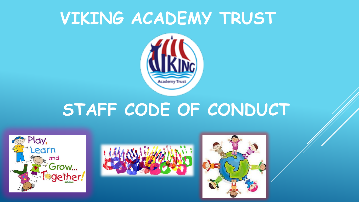# **VIKING ACADEMY TRUST**



# **STAFF CODE OF CONDUCT**





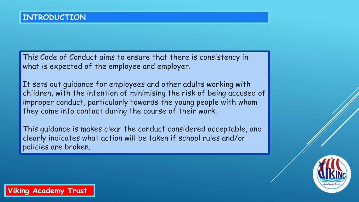This Code of Conduct aims to ensure that there is consistency in what is expected of the employee and employer.

It sets out guidance for employees and other adults working with children, with the intention of minimising the risk of being accused of improper conduct, particularly towards the young people with whom they come into contact during the course of their work.

This guidance is makes clear the conduct considered acceptable, and clearly indicates what action will be taken if school rules and/or policies are broken.

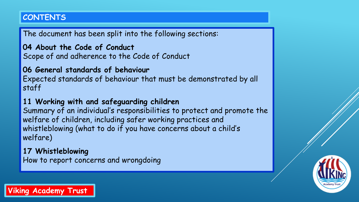# **CONTENTS**

The document has been split into the following sections:

**04 About the Code of Conduct** Scope of and adherence to the Code of Conduct

# **06 General standards of behaviour**

Expected standards of behaviour that must be demonstrated by all staff

# **11 Working with and safeguarding children**

Summary of an individual's responsibilities to protect and promote the welfare of children, including safer working practices and whistleblowing (what to do if you have concerns about a child's welfare)

# **17 Whistleblowing** How to report concerns and wrongdoing

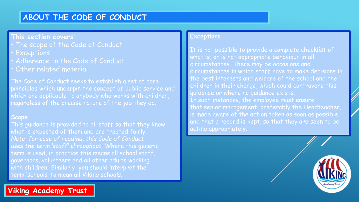# **ABOUT THE CODE OF CONDUCT**

## **This section covers:**

- The scope of the Code of Conduct
- **Exceptions**
- Adherence to the Code of Conduct
- Other related material

The Code of Conduct seeks to establish a set of core principles which underpin the concept of public service and which are applicable to anybody who works with children, regardless of the precise nature of the job they do.

#### **Scope**

This guidance is provided to all staff so that they know what is expected of them and are treated fairly. *Note: for ease of reading, this Code of Conduct uses the term 'staff' throughout.* Where this generic term is used, in practice this means all school staff, governors, volunteers and all other adults working with children. Similarly, you should interpret the term 'schools' to mean all Viking schools.



It is not possible to provide a complete checklist of what is, or is not appropriate behaviour in all circumstances. There may be occasions and circumstances in which staff have to make decisions in the best interests and welfare of the school and the children in their charge, which could contravene this guidance or where no guidance exists. In such instances, the employee must ensure that senior management, preferably the Headteacher, is made aware of the action taken as soon as possible and that a record is kept, so that they are seen to be acting appropriately.



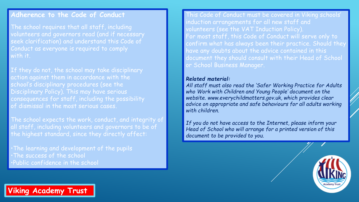#### **Adherence to the Code of Conduct**

The school requires that all staff, including volunteers and governors read (and if necessary seek clarification) and understand this Code of Conduct as everyone is required to comply with it.

If they do not, the school may take disciplinary action against them in accordance with the school's disciplinary procedures (see the Disciplinary Policy). This may have serious consequences for staff, including the possibility of dismissal in the most serious cases.

The school expects the work, conduct, and integrity of all staff, including volunteers and governors to be of the highest standard, since they directly affect:

•The learning and development of the pupils •The success of the school •Public confidence in the school

This Code of Conduct must be covered in Viking schools' induction arrangements for all new staff and volunteers (see the VAT Induction Policy). For most staff, this Code of Conduct will serve only to confirm what has always been their practice. Should they have any doubts about the advice contained in this document they should consult with their Head of School or School Business Manager.

#### *Related material:*

*All staff must also read the 'Safer Working Practice for Adults who Work with Children and Young People' document on the website. www.everychildmatters.gov.uk, which provides clear advice on appropriate and safe behaviours for all adults working with children.*

*If you do not have access to the Internet, please inform your Head of School who will arrange for a printed version of this document to be provided to you.*



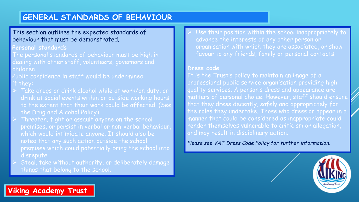# **GENERAL STANDARDS OF BEHAVIOUR**

#### This section outlines the expected standards of behaviour that must be demonstrated.

#### **Personal standards**

The personal standards of behaviour must be high in dealing with other staff, volunteers, governors and children.

Public confidence in staff would be undermined if they:

- Take drugs or drink alcohol while at work/on duty, or drink at social events within or outside working hours to the extent that their work could be affected. (See the Drug and Alcohol Policy)
- Threaten, fight or assault anyone on the school premises, or persist in verbal or non-verbal behaviour which would intimidate anyone. It should also be noted that any such action outside the school premises which could potentially bring the school into disrepute.
- Steal, take without authority, or deliberately damage things that belong to the school.

 Use their position within the school inappropriately to advance the interests of any other person or organisation with which they are associated, or show favour to any friends, family or personal contacts.

#### **Dress code**

It is the Trust's policy to maintain an image of a professional public service organisation providing high quality services. A person's dress and appearance are matters of personal choice. However, staff should ensure that they dress decently, safely and appropriately for the roles they undertake. Those who dress or appear in a manner that could be considered as inappropriate could render themselves vulnerable to criticism or allegation, and may result in disciplinary action.

*Please see VAT Dress Code Policy for further information.*

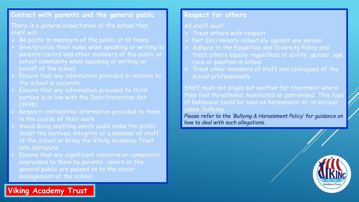## **Contact with parents and the general public**

#### There is a general expectation of the school that staff will:

- Be polite to members of the public at all times
- Give/provide their name when speaking or writing to parents/carers and other members of the public or school community when speaking or writing on behalf of the school
- Ensure that any information provided in relation to the school is accurate
- Ensure that any information provided to third parties is in line with the Data Protection Act (1998)
- Respect confidential information provided to them in the course of their work
- Avoid doing anything which could make the public doubt the motives, integrity of a member of staff of the school or bring the Viking Academy Trust into disrepute
- Ensure that any significant concerns or complaints expressed to them by parents, carers or the general public are passed on to the senior management of the school

**Viking Academy Trust**

### **Respect for others**

#### All staff must:

- Treat others with respect
- Not discriminate unlawfully against any person
- Adhere to the Equalities and Diversity Policy and treat others equally regardless of ability, gender, age, race or position in school
- Treat other members of staff and colleagues of the school professionally

Staff must not single out another for treatment where they feel threatened, humiliated or patronised. This type of behaviour could be seen as harassment or, in serious cases, bullying.

*Please refer to the 'Bullying & Harassment Policy' for guidance on how to deal with such allegations.* 

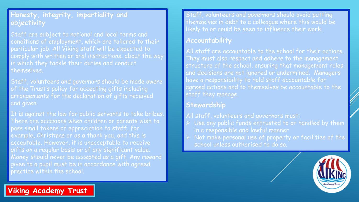## **Honesty, integrity, impartiality and objectivity**

Staff are subject to national and local terms and conditions of employment, which are tailored to their particular job. All Viking staff will be expected to comply with written or oral instructions, about the way in which they tackle their duties and conduct themselves.

Staff, volunteers and governors should be made aware of the Trust's policy for accepting gifts including arrangements for the declaration of gifts received and given.

It is against the law for public servants to take bribes. There are occasions when children or parents wish to pass small tokens of appreciation to staff, for example, Christmas or as a thank you, and this is acceptable. However, it is unacceptable to receive gifts on a regular basis or of any significant value. Money should never be accepted as a gift. Any reward given to a pupil must be in accordance with agreed practice within the school.

Staff, volunteers and governors should avoid putting themselves in debt to a colleague where this would be likely to or could be seen to influence their work.

## **Accountability**

All staff are accountable to the school for their actions. They must also respect and adhere to the management structure of the school, ensuring that management roles and decisions are not ignored or undermined. Managers have a responsibility to hold staff accountable for agreed actions and to themselves be accountable to the staff they manage.

#### **Stewardship**

All staff, volunteers and governors must:

- Use any public funds entrusted to or handled by them in a responsible and lawful manner
- $\rightarrow$  Not make personal use of property or facilities of the school unless authorised to do so.

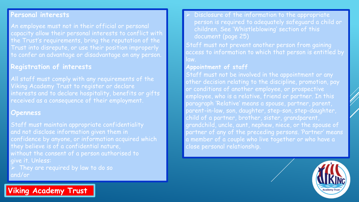#### **Personal interests**

An employee must not in their official or personal capacity allow their personal interests to conflict with the Trust's requirements, bring the reputation of the Trust into disrepute, or use their position improperly to confer an advantage or disadvantage on any person.

## **Registration of interests**

All staff must comply with any requirements of the Viking Academy Trust to register or declare interests and to declare hospitality, benefits or gifts received as a consequence of their employment.

#### **Openness**

Staff must maintain appropriate confidentiality and not disclose information given them in confidence by anyone, or information acquired which they believe is of a confidential nature, without the consent of a person authorised to give it. Unless:

 They are required by law to do so and/or

 Disclosure of the information to the appropriate person is required to adequately safeguard a child or children. See 'Whistleblowing' section of this document (page 25)

Staff must not prevent another person from gaining access to information to which that person is entitled by law.

#### **Appointment of staff**

Staff must not be involved in the appointment or any other decision relating to the discipline, promotion, pay or conditions of another employee, or prospective employee, who is a relative, friend or partner. In this paragraph 'Relative' means a spouse, partner, parent, parent-in-law, son, daughter, step-son, step-daughter, child of a partner, brother, sister, grandparent, grandchild, uncle, aunt, nephew, niece, or the spouse of partner of any of the preceding persons. 'Partner' means a member of a couple who live together or who have a close personal relationship.

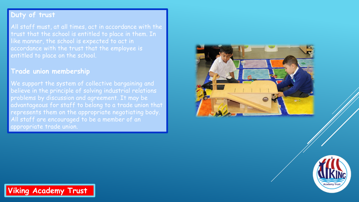## **Duty of trust**

All staff must, at all times, act in accordance with the trust that the school is entitled to place in them. In like manner, the school is expected to act in accordance with the trust that the employee is entitled to place on the school.

#### **Trade union membership**

We support the system of collective bargaining and believe in the principle of solving industrial relations problems by discussion and agreement. It may be advantageous for staff to belong to a trade union that represents them on the appropriate negotiating body. All staff are encouraged to be a member of an appropriate trade union.



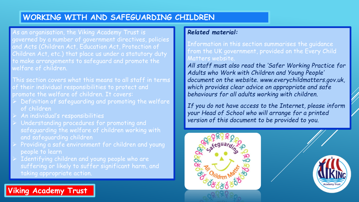# **WORKING WITH AND SAFEGUARDING CHILDREN**

As an organisation, the Viking Academy Trust is governed by a number of government directives, policies and Acts (Children Act, Education Act, Protection of Children Act, etc.) that place us under a statutory duty to make arrangements to safeguard and promote the welfare of children.

This section covers what this means to all staff in terms of their individual responsibilities to protect and promote the welfare of children. It covers:

- Definition of safeguarding and promoting the welfare of children
- An individual's responsibilities

**Viking Academy Trust**

- Understanding procedures for promoting and safeguarding the welfare of children working with and safeguarding children
- Providing a safe environment for children and young people to learn
- Identifying children and young people who are suffering or likely to suffer significant harm, and taking appropriate action.

#### *Related material:*

Information in this section summarises the guidance from the UK government, provided on the Every Child Matters website.

*All staff must also read the 'Safer Working Practice for Adults who Work with Children and Young People' document on the website. www.everychildmatters.gov.uk, which provides clear advice on appropriate and safe behaviours for all adults working with children.*

*If you do not have access to the Internet, please inform your Head of School who will arrange for a printed version of this document to be provided to you.*



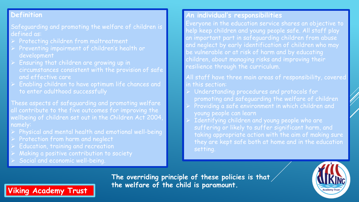## **Definition**

Safeguarding and promoting the welfare of children is defined as:

- Protecting children from maltreatment
- Preventing impairment of children's health or development
- Ensuring that children are growing up in circumstances consistent with the provision of safe and effective care
- Enabling children to have optimum life chances and to enter adulthood successfully

These aspects of safeguarding and promoting welfare all contribute to the five outcomes for improving the wellbeing of children set out in the Children Act 2004, namely:

- Physical and mental health and emotional well-being
- Protection from harm and neglect
- Education, training and recreation
- Making a positive contribution to society
- Social and economic well-being.

**Viking Academy Trust**

## **An individual's responsibilities**

Everyone in the education service shares an objective to help keep children and young people safe. All staff play an important part in safeguarding children from abuse and neglect by early identification of children who may be vulnerable or at risk of harm and by educating children, about managing risks and improving their resilience through the curriculum.

All staff have three main areas of responsibility, covered in this section:

- **Understanding procedures and protocols for** promoting and safeguarding the welfare of children
- Providing a safe environment in which children and young people can learn
- Identifying children and young people who are suffering or likely to suffer significant harm, and taking appropriate action with the aim of making sure they are kept safe both at home and in the education setting.

**The overriding principle of these policies is that the welfare of the child is paramount.**

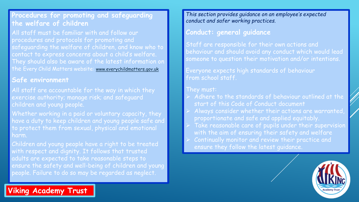## **Procedures for promoting and safeguarding the welfare of children**

All staff must be familiar with and follow our procedures and protocols for promoting and safeguarding the welfare of children, and know who to contact to express concerns about a child's welfare. They should also be aware of the latest information on the Every Child Matters website: [www.everychildmatters.gov.uk](http://www.everychildmatters.gov.uk/)

#### **Safe environment**

All staff are accountable for the way in which they exercise authority; manage risk; and safeguard children and young people.

Whether working in a paid or voluntary capacity, they have a duty to keep children and young people safe and to protect them from sexual, physical and emotional harm.

Children and young people have a right to be treated with respect and dignity. It follows that trusted adults are expected to take reasonable steps to ensure the safety and well-being of children and young people. Failure to do so may be regarded as neglect.

*This section provides guidance on an employee's expected conduct and safer working practices.*

#### **Conduct: general guidance**

Staff are responsible for their own actions and behaviour and should avoid any conduct which would lead someone to question their motivation and/or intentions.

Everyone expects high standards of behaviour from school staff.

#### They must:

- $\triangleright$  Adhere to the standards of behaviour outlined at the start of this Code of Conduct document
- Always consider whether their actions are warranted, proportionate and safe and applied equitably.
- Take reasonable care of pupils under their supervision with the aim of ensuring their safety and welfare
- Continually monitor and review their practice and ensure they follow the latest guidance.

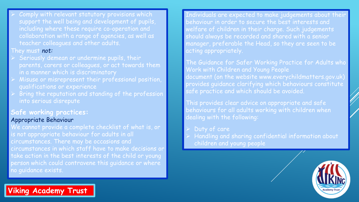Comply with relevant statutory provisions which support the well being and development of pupils, including where these require co-operation and collaboration with a range of agencies, as well as teacher colleagues and other adults.

#### They must *not:*

- Seriously demean or undermine pupils, their parents, carers or colleagues, or act towards them in a manner which is discriminatory
- Misuse or misrepresent their professional position, qualifications or experience
- Bring the reputation and standing of the profession into serious disrepute

## **Safe working practices:**

#### Appropriate Behaviour

We cannot provide a complete checklist of what is, or is not appropriate behaviour for adults in all circumstances. There may be occasions and circumstances in which staff have to make decisions or take action in the best interests of the child or young person which could contravene this guidance or where no guidance exists.

Individuals are expected to make judgements about their behaviour in order to secure the best interests and welfare of children in their charge. Such judgements should always be recorded and shared with a senior manager, preferable the Head, so they are seen to be acting appropriately.

The Guidance for Safer Working Practice for Adults who Work with Children and Young People document (on the website www.everychildmatters.gov.uk) provides guidance clarifying which behaviours constitute safe practice and which should be avoided.

This provides clear advice on appropriate and safe behaviours for all adults working with children when dealing with the following:

#### $\rightarrow$  Duty of care

 Handling and sharing confidential information about children and young people

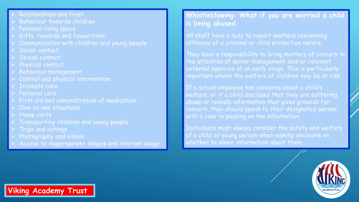- Relationships and trust
- Behaviour towards children
- Personal living space
- Gifts, rewards and favouritism
- Communication with children and young people
- Social contact
- Sexual contact
- Physical contact
- Behaviour management
- Control and physical intervention
- Intimate care
- Personal care
- First aid and administration of medication
- One-to-one situations
- Home visits
- Transporting children and young people
- Trips and outings
- Photography and videos
- Access to inappropriate images and internet usage

## **Whistleblowing: What if you are worried a child is being abused**

All staff have a duty to report matters concerning offences of a criminal or child protection nature.

They have a responsibility to bring matters of concern to the attention of senior management and/or relevant external agencies at an early stage. This is particularly important where the welfare of children may be at risk.

If a school employee has concerns about a child's welfare, or if a child discloses that they are suffering abuse or reveals information that gives grounds for concern, they should speak to their designated person with a view to passing on the information

Individuals must always consider the safety and welfare of a child or young person when making decisions on whether to share information about them.

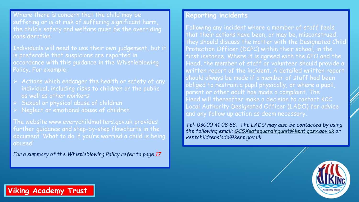Where there is concern that the child may be suffering or is at risk of suffering significant harm, the child's safety and welfare must be the overriding consideration.

Individuals will need to use their own judgement, but it is preferable that suspicions are reported in accordance with this guidance in the Whistleblowing Policy. For example:

- $\rightarrow$  Actions which endanger the health or safety of any individual, including risks to children or the public as well as other workers
- Sexual or physical abuse of children
- Neglect or emotional abuse of children

The website www.everychildmatters.gov.uk provides further guidance and step-by-step flowcharts in the document 'What to do if you're worried a child is being abused'

*For a summary of the Whistleblowing Policy refer to page 17*

#### **Reporting incidents**

Following any incident where a member of staff feels that their actions have been, or may be, misconstrued, they should discuss the matter with the Designated Child Protection Officer (DCPC) within their school, in the first instance. Where it is agreed with the CPO and the Head, the member of staff or volunteer should provide a written report of the incident. A detailed written report should always be made if a member of staff had been obliged to restrain a pupil physically, or where a pupil, parent or other adult has made a complaint. The Head will thereafter make a decision to contact KCC Local Authority Designated Officer (LADO) for advice and any follow up action as deem necessary.

*Tel: 03000 41 08 88. The LADO may also be contacted by using the following email: [GCSXsafeguardingunit@kent.gcsx.gov.uk](mailto:GCSXsafeguardingunit@kent.gcsx.gov.uk) or kentchildrenslado@kent.gov.uk.*

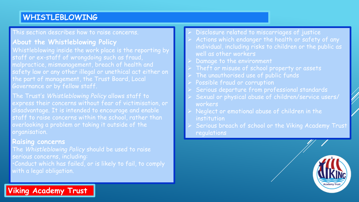# **WHISTLEBLOWING**

This section describes how to raise concerns.

## **About the Whistleblowing Policy**

Whistleblowing inside the work place is the reporting by staff or ex-staff of wrongdoing such as fraud, malpractice, mismanagement, breach of health and safety law or any other illegal or unethical act either on the part of management, the Trust Board, Local Governance or by fellow staff.

The Trust's *Whistleblowing Policy* allows staff to express their concerns without fear of victimisation, or disadvantage. It is intended to encourage and enable staff to raise concerns within the school, rather than overlooking a problem or taking it outside of the organisation.

#### **Raising concerns**

**Viking Academy Trust**

The *Whistleblowing Policy* should be used to raise serious concerns, including: •Conduct which has failed, or is likely to fail, to comply with a legal obligation.

- Disclosure related to miscarriages of justice
- Actions which endanger the health or safety of any individual, including risks to children or the public as well as other workers
- Damage to the environment
- Theft or misuse of school property or assets
- The unauthorised use of public funds
- Possible fraud or corruption
- Serious departure from professional standards
- Sexual or physical abuse of children/service users/ workers
- Neglect or emotional abuse of children in the institution
- Serious breach of school or the Viking Academy Trust regulations

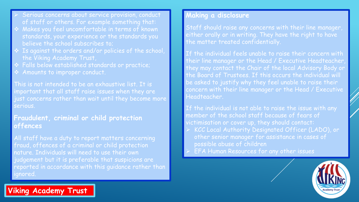- Serious concerns about service provision, conduct of staff or others. For example something that:
- Makes you feel uncomfortable in terms of known standards, your experience or the standards you believe the school subscribes to;
- Is against the orders and/or policies of the school, the Viking Academy Trust,
- Falls below established standards or practice;
- Amounts to improper conduct.

This is not intended to be an exhaustive list. It is important that all staff raise issues when they are just concerns rather than wait until they become more serious.

**Fraudulent, criminal or child protection offences**

All staff have a duty to report matters concerning fraud, offences of a criminal or child protection nature. Individuals will need to use their own judgement but it is preferable that suspicions are reported in accordance with this guidance rather than ignored.

## **Making a disclosure**

Staff should raise any concerns with their line manager, either orally or in writing. They have the right to have the matter treated confidentially.

If the individual feels unable to raise their concern with their line manager or the Head / Executive Headteacher, they may contact the Chair of the local Advisory Body or the Board of Trustees. If this occurs the individual will be asked to justify why they feel unable to raise their concern with their line manager or the Head / Executive Headteacher.

If the individual is not able to raise the issue with any member of the school staff because of fears of victimisation or cover up, they should contact:

- KCC Local Authority Designated Officer (LADO), or other senior manager for assistance in cases of possible abuse of children
- EFA Human Resources for any other issues